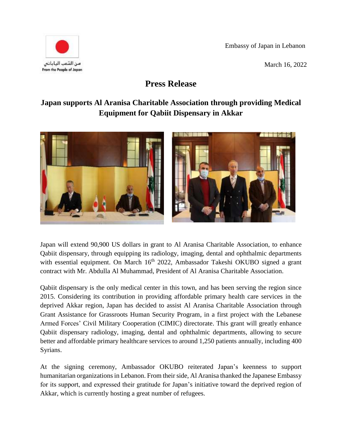Embassy of Japan in Lebanon





## **Press Release**

## **Japan supports Al Aranisa Charitable Association through providing Medical Equipment for Qabiit Dispensary in Akkar**



Japan will extend 90,900 US dollars in grant to Al Aranisa Charitable Association, to enhance Qabiit dispensary, through equipping its radiology, imaging, dental and ophthalmic departments with essential equipment. On March 16<sup>th</sup> 2022, Ambassador Takeshi OKUBO signed a grant contract with Mr. Abdulla Al Muhammad, President of Al Aranisa Charitable Association.

Qabiit dispensary is the only medical center in this town, and has been serving the region since 2015. Considering its contribution in providing affordable primary health care services in the deprived Akkar region, Japan has decided to assist Al Aranisa Charitable Association through Grant Assistance for Grassroots Human Security Program, in a first project with the Lebanese Armed Forces' Civil Military Cooperation (CIMIC) directorate. This grant will greatly enhance Qabiit dispensary radiology, imaging, dental and ophthalmic departments, allowing to secure better and affordable primary healthcare services to around 1,250 patients annually, including 400 Syrians.

At the signing ceremony, Ambassador OKUBO reiterated Japan's keenness to support humanitarian organizations in Lebanon. From their side, Al Aranisa thanked the Japanese Embassy for its support, and expressed their gratitude for Japan's initiative toward the deprived region of Akkar, which is currently hosting a great number of refugees.